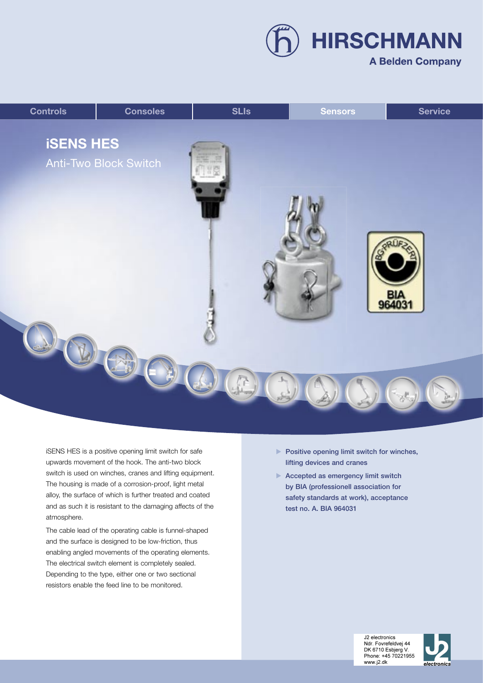**HIRSCHMANN A Belden Company** 

## **Controls Consoles SLIs Sensors ServiceiSENS HES** Anti-Two Block Switch ВΙА 96403  $\mathbb{R}$

iSENS HES is a positive opening limit switch for safe upwards movement of the hook. The anti-two block switch is used on winches, cranes and lifting equipment. The housing is made of a corrosion-proof, light metal alloy, the surface of which is further treated and coated and as such it is resistant to the damaging affects of the atmosphere.

The cable lead of the operating cable is funnel-shaped and the surface is designed to be low-friction, thus enabling angled movements of the operating elements. The electrical switch element is completely sealed. Depending to the type, either one or two sectional resistors enable the feed line to be monitored.

- $\blacktriangleright$  Positive opening limit switch for winches, lifting devices and cranes
- Accepted as emergency limit switch by BIA (professionell association for safety standards at work), acceptance test no. A. BIA 964031